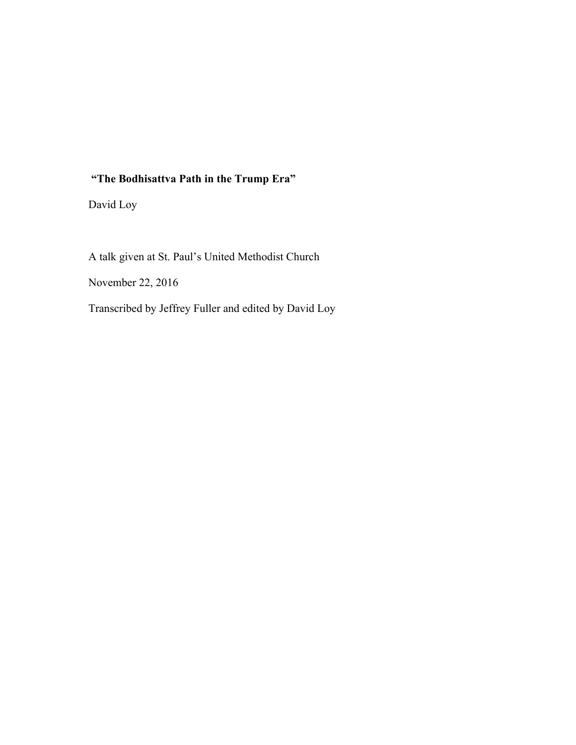## **"The Bodhisattva Path in the Trump Era"**

David Loy

A talk given at St. Paul's United Methodist Church November 22, 2016 Transcribed by Jeffrey Fuller and edited by David Loy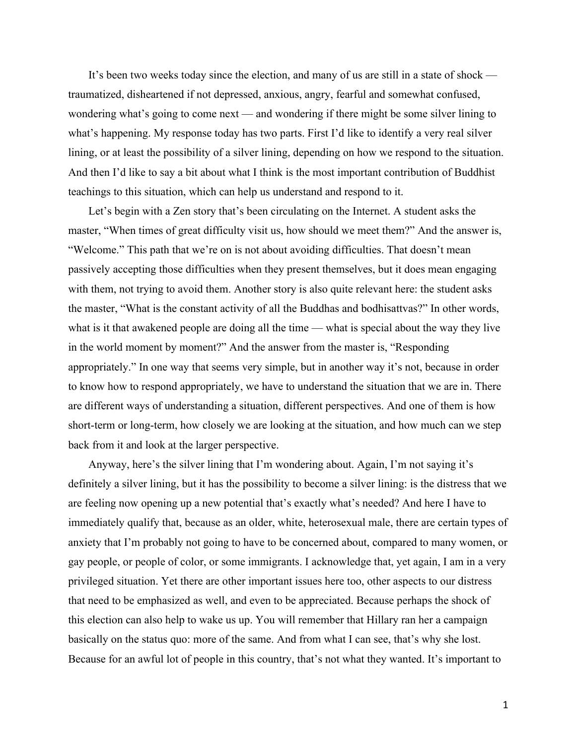It's been two weeks today since the election, and many of us are still in a state of shock traumatized, disheartened if not depressed, anxious, angry, fearful and somewhat confused, wondering what's going to come next — and wondering if there might be some silver lining to what's happening. My response today has two parts. First I'd like to identify a very real silver lining, or at least the possibility of a silver lining, depending on how we respond to the situation. And then I'd like to say a bit about what I think is the most important contribution of Buddhist teachings to this situation, which can help us understand and respond to it.

Let's begin with a Zen story that's been circulating on the Internet. A student asks the master, "When times of great difficulty visit us, how should we meet them?" And the answer is, "Welcome." This path that we're on is not about avoiding difficulties. That doesn't mean passively accepting those difficulties when they present themselves, but it does mean engaging with them, not trying to avoid them. Another story is also quite relevant here: the student asks the master, "What is the constant activity of all the Buddhas and bodhisattvas?" In other words, what is it that awakened people are doing all the time — what is special about the way they live in the world moment by moment?" And the answer from the master is, "Responding appropriately." In one way that seems very simple, but in another way it's not, because in order to know how to respond appropriately, we have to understand the situation that we are in. There are different ways of understanding a situation, different perspectives. And one of them is how short-term or long-term, how closely we are looking at the situation, and how much can we step back from it and look at the larger perspective.

Anyway, here's the silver lining that I'm wondering about. Again, I'm not saying it's definitely a silver lining, but it has the possibility to become a silver lining: is the distress that we are feeling now opening up a new potential that's exactly what's needed? And here I have to immediately qualify that, because as an older, white, heterosexual male, there are certain types of anxiety that I'm probably not going to have to be concerned about, compared to many women, or gay people, or people of color, or some immigrants. I acknowledge that, yet again, I am in a very privileged situation. Yet there are other important issues here too, other aspects to our distress that need to be emphasized as well, and even to be appreciated. Because perhaps the shock of this election can also help to wake us up. You will remember that Hillary ran her a campaign basically on the status quo: more of the same. And from what I can see, that's why she lost. Because for an awful lot of people in this country, that's not what they wanted. It's important to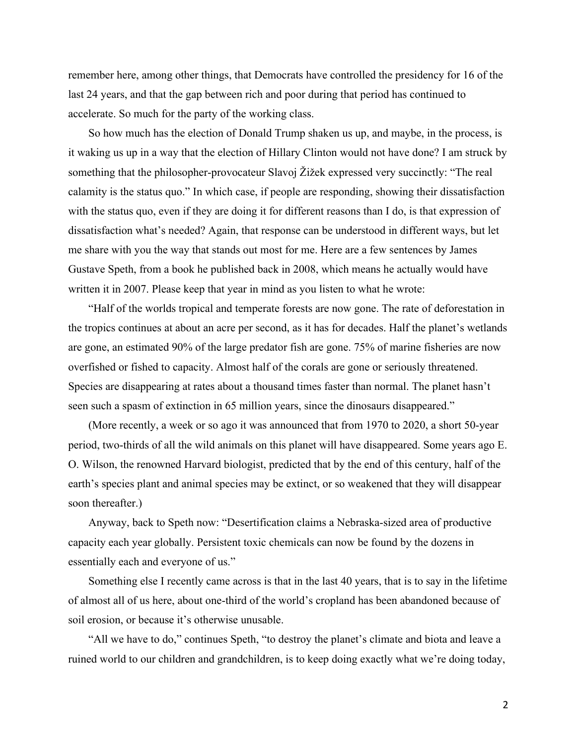remember here, among other things, that Democrats have controlled the presidency for 16 of the last 24 years, and that the gap between rich and poor during that period has continued to accelerate. So much for the party of the working class.

So how much has the election of Donald Trump shaken us up, and maybe, in the process, is it waking us up in a way that the election of Hillary Clinton would not have done? I am struck by something that the philosopher-provocateur Slavoj  $\check{Z}$  izek expressed very succinctly: "The real calamity is the status quo." In which case, if people are responding, showing their dissatisfaction with the status quo, even if they are doing it for different reasons than I do, is that expression of dissatisfaction what's needed? Again, that response can be understood in different ways, but let me share with you the way that stands out most for me. Here are a few sentences by James Gustave Speth, from a book he published back in 2008, which means he actually would have written it in 2007. Please keep that year in mind as you listen to what he wrote:

"Half of the worlds tropical and temperate forests are now gone. The rate of deforestation in the tropics continues at about an acre per second, as it has for decades. Half the planet's wetlands are gone, an estimated 90% of the large predator fish are gone. 75% of marine fisheries are now overfished or fished to capacity. Almost half of the corals are gone or seriously threatened. Species are disappearing at rates about a thousand times faster than normal. The planet hasn't seen such a spasm of extinction in 65 million years, since the dinosaurs disappeared."

(More recently, a week or so ago it was announced that from 1970 to 2020, a short 50-year period, two-thirds of all the wild animals on this planet will have disappeared. Some years ago E. O. Wilson, the renowned Harvard biologist, predicted that by the end of this century, half of the earth's species plant and animal species may be extinct, or so weakened that they will disappear soon thereafter.)

Anyway, back to Speth now: "Desertification claims a Nebraska-sized area of productive capacity each year globally. Persistent toxic chemicals can now be found by the dozens in essentially each and everyone of us."

Something else I recently came across is that in the last 40 years, that is to say in the lifetime of almost all of us here, about one-third of the world's cropland has been abandoned because of soil erosion, or because it's otherwise unusable.

"All we have to do," continues Speth, "to destroy the planet's climate and biota and leave a ruined world to our children and grandchildren, is to keep doing exactly what we're doing today,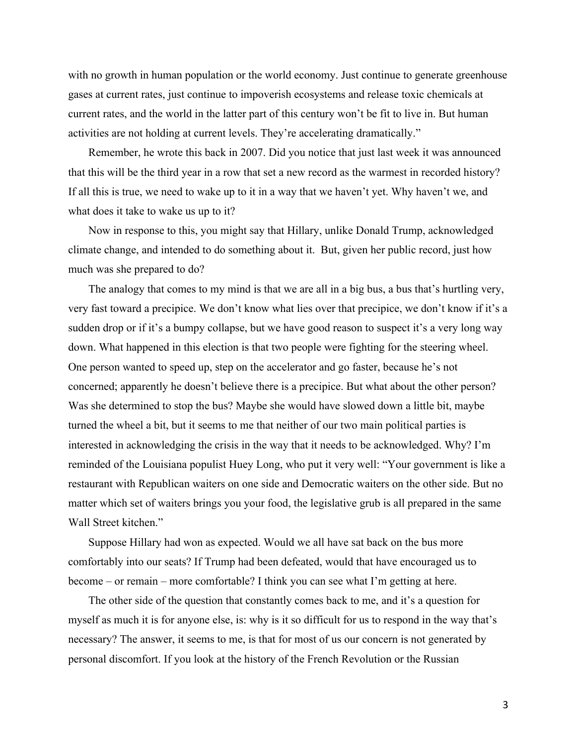with no growth in human population or the world economy. Just continue to generate greenhouse gases at current rates, just continue to impoverish ecosystems and release toxic chemicals at current rates, and the world in the latter part of this century won't be fit to live in. But human activities are not holding at current levels. They're accelerating dramatically."

Remember, he wrote this back in 2007. Did you notice that just last week it was announced that this will be the third year in a row that set a new record as the warmest in recorded history? If all this is true, we need to wake up to it in a way that we haven't yet. Why haven't we, and what does it take to wake us up to it?

Now in response to this, you might say that Hillary, unlike Donald Trump, acknowledged climate change, and intended to do something about it. But, given her public record, just how much was she prepared to do?

The analogy that comes to my mind is that we are all in a big bus, a bus that's hurtling very, very fast toward a precipice. We don't know what lies over that precipice, we don't know if it's a sudden drop or if it's a bumpy collapse, but we have good reason to suspect it's a very long way down. What happened in this election is that two people were fighting for the steering wheel. One person wanted to speed up, step on the accelerator and go faster, because he's not concerned; apparently he doesn't believe there is a precipice. But what about the other person? Was she determined to stop the bus? Maybe she would have slowed down a little bit, maybe turned the wheel a bit, but it seems to me that neither of our two main political parties is interested in acknowledging the crisis in the way that it needs to be acknowledged. Why? I'm reminded of the Louisiana populist Huey Long, who put it very well: "Your government is like a restaurant with Republican waiters on one side and Democratic waiters on the other side. But no matter which set of waiters brings you your food, the legislative grub is all prepared in the same Wall Street kitchen."

Suppose Hillary had won as expected. Would we all have sat back on the bus more comfortably into our seats? If Trump had been defeated, would that have encouraged us to become – or remain – more comfortable? I think you can see what I'm getting at here.

The other side of the question that constantly comes back to me, and it's a question for myself as much it is for anyone else, is: why is it so difficult for us to respond in the way that's necessary? The answer, it seems to me, is that for most of us our concern is not generated by personal discomfort. If you look at the history of the French Revolution or the Russian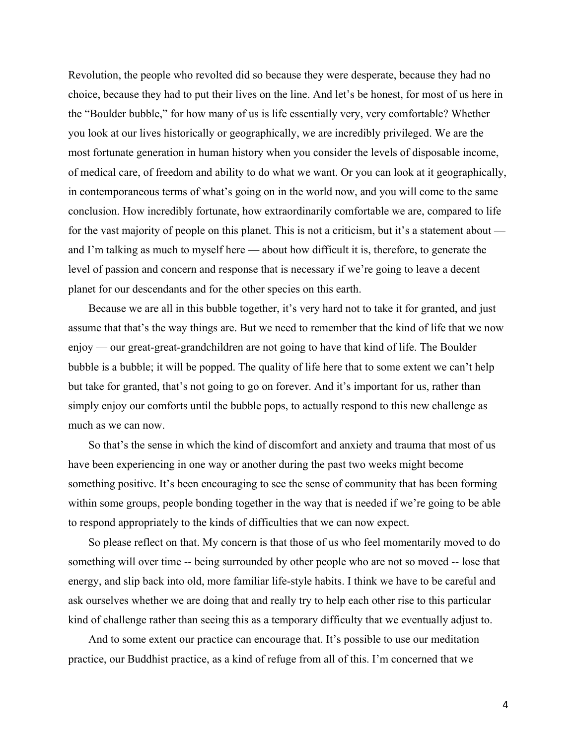Revolution, the people who revolted did so because they were desperate, because they had no choice, because they had to put their lives on the line. And let's be honest, for most of us here in the "Boulder bubble," for how many of us is life essentially very, very comfortable? Whether you look at our lives historically or geographically, we are incredibly privileged. We are the most fortunate generation in human history when you consider the levels of disposable income, of medical care, of freedom and ability to do what we want. Or you can look at it geographically, in contemporaneous terms of what's going on in the world now, and you will come to the same conclusion. How incredibly fortunate, how extraordinarily comfortable we are, compared to life for the vast majority of people on this planet. This is not a criticism, but it's a statement about and I'm talking as much to myself here — about how difficult it is, therefore, to generate the level of passion and concern and response that is necessary if we're going to leave a decent planet for our descendants and for the other species on this earth.

Because we are all in this bubble together, it's very hard not to take it for granted, and just assume that that's the way things are. But we need to remember that the kind of life that we now enjoy — our great-great-grandchildren are not going to have that kind of life. The Boulder bubble is a bubble; it will be popped. The quality of life here that to some extent we can't help but take for granted, that's not going to go on forever. And it's important for us, rather than simply enjoy our comforts until the bubble pops, to actually respond to this new challenge as much as we can now.

So that's the sense in which the kind of discomfort and anxiety and trauma that most of us have been experiencing in one way or another during the past two weeks might become something positive. It's been encouraging to see the sense of community that has been forming within some groups, people bonding together in the way that is needed if we're going to be able to respond appropriately to the kinds of difficulties that we can now expect.

So please reflect on that. My concern is that those of us who feel momentarily moved to do something will over time -- being surrounded by other people who are not so moved -- lose that energy, and slip back into old, more familiar life-style habits. I think we have to be careful and ask ourselves whether we are doing that and really try to help each other rise to this particular kind of challenge rather than seeing this as a temporary difficulty that we eventually adjust to.

And to some extent our practice can encourage that. It's possible to use our meditation practice, our Buddhist practice, as a kind of refuge from all of this. I'm concerned that we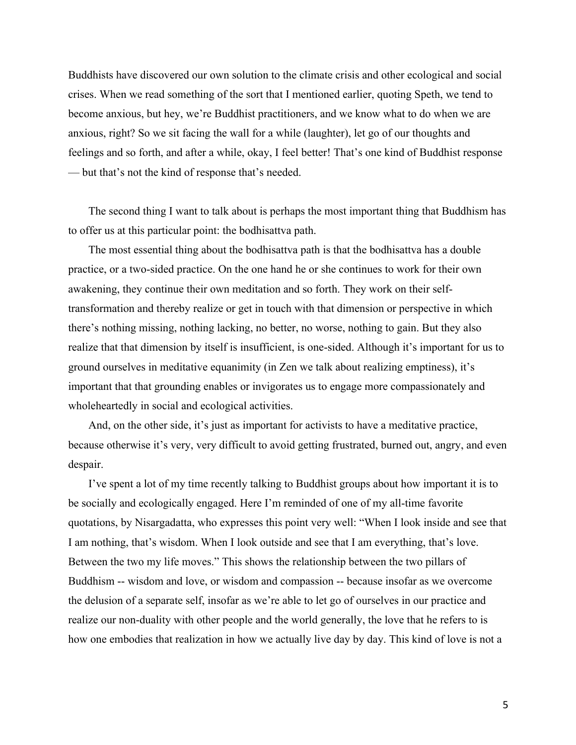Buddhists have discovered our own solution to the climate crisis and other ecological and social crises. When we read something of the sort that I mentioned earlier, quoting Speth, we tend to become anxious, but hey, we're Buddhist practitioners, and we know what to do when we are anxious, right? So we sit facing the wall for a while (laughter), let go of our thoughts and feelings and so forth, and after a while, okay, I feel better! That's one kind of Buddhist response — but that's not the kind of response that's needed.

The second thing I want to talk about is perhaps the most important thing that Buddhism has to offer us at this particular point: the bodhisattva path.

The most essential thing about the bodhisattva path is that the bodhisattva has a double practice, or a two-sided practice. On the one hand he or she continues to work for their own awakening, they continue their own meditation and so forth. They work on their selftransformation and thereby realize or get in touch with that dimension or perspective in which there's nothing missing, nothing lacking, no better, no worse, nothing to gain. But they also realize that that dimension by itself is insufficient, is one-sided. Although it's important for us to ground ourselves in meditative equanimity (in Zen we talk about realizing emptiness), it's important that that grounding enables or invigorates us to engage more compassionately and wholeheartedly in social and ecological activities.

And, on the other side, it's just as important for activists to have a meditative practice, because otherwise it's very, very difficult to avoid getting frustrated, burned out, angry, and even despair.

I've spent a lot of my time recently talking to Buddhist groups about how important it is to be socially and ecologically engaged. Here I'm reminded of one of my all-time favorite quotations, by Nisargadatta, who expresses this point very well: "When I look inside and see that I am nothing, that's wisdom. When I look outside and see that I am everything, that's love. Between the two my life moves." This shows the relationship between the two pillars of Buddhism -- wisdom and love, or wisdom and compassion -- because insofar as we overcome the delusion of a separate self, insofar as we're able to let go of ourselves in our practice and realize our non-duality with other people and the world generally, the love that he refers to is how one embodies that realization in how we actually live day by day. This kind of love is not a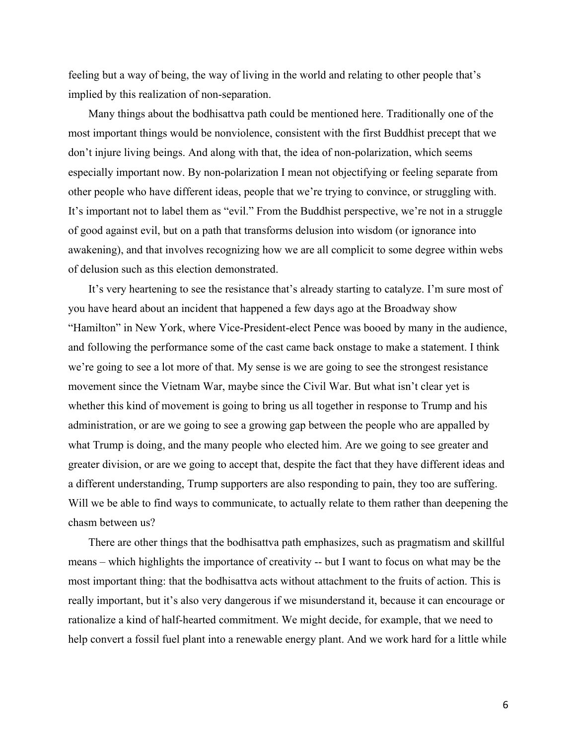feeling but a way of being, the way of living in the world and relating to other people that's implied by this realization of non-separation.

Many things about the bodhisattva path could be mentioned here. Traditionally one of the most important things would be nonviolence, consistent with the first Buddhist precept that we don't injure living beings. And along with that, the idea of non-polarization, which seems especially important now. By non-polarization I mean not objectifying or feeling separate from other people who have different ideas, people that we're trying to convince, or struggling with. It's important not to label them as "evil." From the Buddhist perspective, we're not in a struggle of good against evil, but on a path that transforms delusion into wisdom (or ignorance into awakening), and that involves recognizing how we are all complicit to some degree within webs of delusion such as this election demonstrated.

It's very heartening to see the resistance that's already starting to catalyze. I'm sure most of you have heard about an incident that happened a few days ago at the Broadway show "Hamilton" in New York, where Vice-President-elect Pence was booed by many in the audience, and following the performance some of the cast came back onstage to make a statement. I think we're going to see a lot more of that. My sense is we are going to see the strongest resistance movement since the Vietnam War, maybe since the Civil War. But what isn't clear yet is whether this kind of movement is going to bring us all together in response to Trump and his administration, or are we going to see a growing gap between the people who are appalled by what Trump is doing, and the many people who elected him. Are we going to see greater and greater division, or are we going to accept that, despite the fact that they have different ideas and a different understanding, Trump supporters are also responding to pain, they too are suffering. Will we be able to find ways to communicate, to actually relate to them rather than deepening the chasm between us?

There are other things that the bodhisattva path emphasizes, such as pragmatism and skillful means – which highlights the importance of creativity -- but I want to focus on what may be the most important thing: that the bodhisattva acts without attachment to the fruits of action. This is really important, but it's also very dangerous if we misunderstand it, because it can encourage or rationalize a kind of half-hearted commitment. We might decide, for example, that we need to help convert a fossil fuel plant into a renewable energy plant. And we work hard for a little while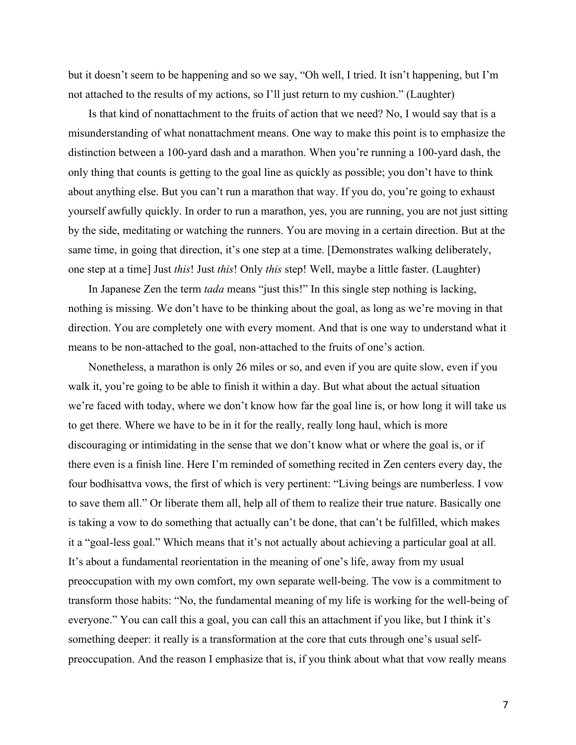but it doesn't seem to be happening and so we say, "Oh well, I tried. It isn't happening, but I'm not attached to the results of my actions, so I'll just return to my cushion." (Laughter)

Is that kind of nonattachment to the fruits of action that we need? No, I would say that is a misunderstanding of what nonattachment means. One way to make this point is to emphasize the distinction between a 100-yard dash and a marathon. When you're running a 100-yard dash, the only thing that counts is getting to the goal line as quickly as possible; you don't have to think about anything else. But you can't run a marathon that way. If you do, you're going to exhaust yourself awfully quickly. In order to run a marathon, yes, you are running, you are not just sitting by the side, meditating or watching the runners. You are moving in a certain direction. But at the same time, in going that direction, it's one step at a time. [Demonstrates walking deliberately, one step at a time] Just *this*! Just *this*! Only *this* step! Well, maybe a little faster. (Laughter)

In Japanese Zen the term *tada* means "just this!" In this single step nothing is lacking, nothing is missing. We don't have to be thinking about the goal, as long as we're moving in that direction. You are completely one with every moment. And that is one way to understand what it means to be non-attached to the goal, non-attached to the fruits of one's action.

Nonetheless, a marathon is only 26 miles or so, and even if you are quite slow, even if you walk it, you're going to be able to finish it within a day. But what about the actual situation we're faced with today, where we don't know how far the goal line is, or how long it will take us to get there. Where we have to be in it for the really, really long haul, which is more discouraging or intimidating in the sense that we don't know what or where the goal is, or if there even is a finish line. Here I'm reminded of something recited in Zen centers every day, the four bodhisattva vows, the first of which is very pertinent: "Living beings are numberless. I vow to save them all." Or liberate them all, help all of them to realize their true nature. Basically one is taking a vow to do something that actually can't be done, that can't be fulfilled, which makes it a "goal-less goal." Which means that it's not actually about achieving a particular goal at all. It's about a fundamental reorientation in the meaning of one's life, away from my usual preoccupation with my own comfort, my own separate well-being. The vow is a commitment to transform those habits: "No, the fundamental meaning of my life is working for the well-being of everyone." You can call this a goal, you can call this an attachment if you like, but I think it's something deeper: it really is a transformation at the core that cuts through one's usual selfpreoccupation. And the reason I emphasize that is, if you think about what that vow really means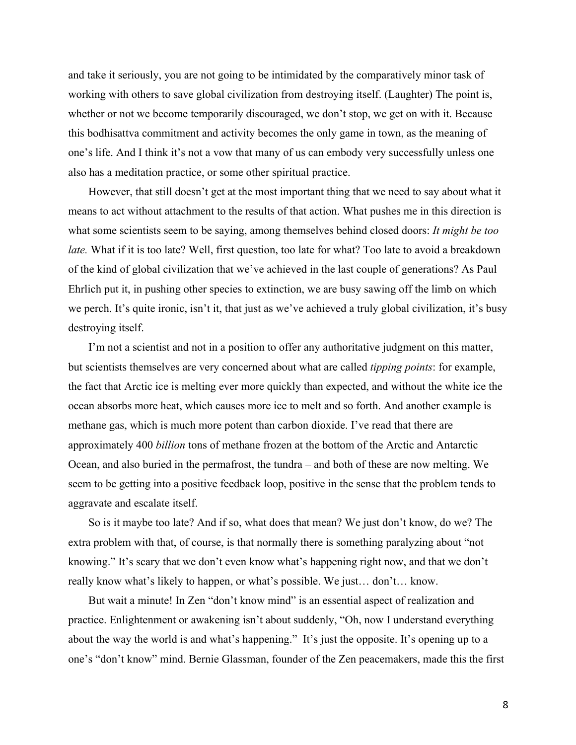and take it seriously, you are not going to be intimidated by the comparatively minor task of working with others to save global civilization from destroying itself. (Laughter) The point is, whether or not we become temporarily discouraged, we don't stop, we get on with it. Because this bodhisattva commitment and activity becomes the only game in town, as the meaning of one's life. And I think it's not a vow that many of us can embody very successfully unless one also has a meditation practice, or some other spiritual practice.

However, that still doesn't get at the most important thing that we need to say about what it means to act without attachment to the results of that action. What pushes me in this direction is what some scientists seem to be saying, among themselves behind closed doors: *It might be too late.* What if it is too late? Well, first question, too late for what? Too late to avoid a breakdown of the kind of global civilization that we've achieved in the last couple of generations? As Paul Ehrlich put it, in pushing other species to extinction, we are busy sawing off the limb on which we perch. It's quite ironic, isn't it, that just as we've achieved a truly global civilization, it's busy destroying itself.

I'm not a scientist and not in a position to offer any authoritative judgment on this matter, but scientists themselves are very concerned about what are called *tipping points*: for example, the fact that Arctic ice is melting ever more quickly than expected, and without the white ice the ocean absorbs more heat, which causes more ice to melt and so forth. And another example is methane gas, which is much more potent than carbon dioxide. I've read that there are approximately 400 *billion* tons of methane frozen at the bottom of the Arctic and Antarctic Ocean, and also buried in the permafrost, the tundra – and both of these are now melting. We seem to be getting into a positive feedback loop, positive in the sense that the problem tends to aggravate and escalate itself.

So is it maybe too late? And if so, what does that mean? We just don't know, do we? The extra problem with that, of course, is that normally there is something paralyzing about "not knowing." It's scary that we don't even know what's happening right now, and that we don't really know what's likely to happen, or what's possible. We just… don't… know.

But wait a minute! In Zen "don't know mind" is an essential aspect of realization and practice. Enlightenment or awakening isn't about suddenly, "Oh, now I understand everything about the way the world is and what's happening." It's just the opposite. It's opening up to a one's "don't know" mind. Bernie Glassman, founder of the Zen peacemakers, made this the first